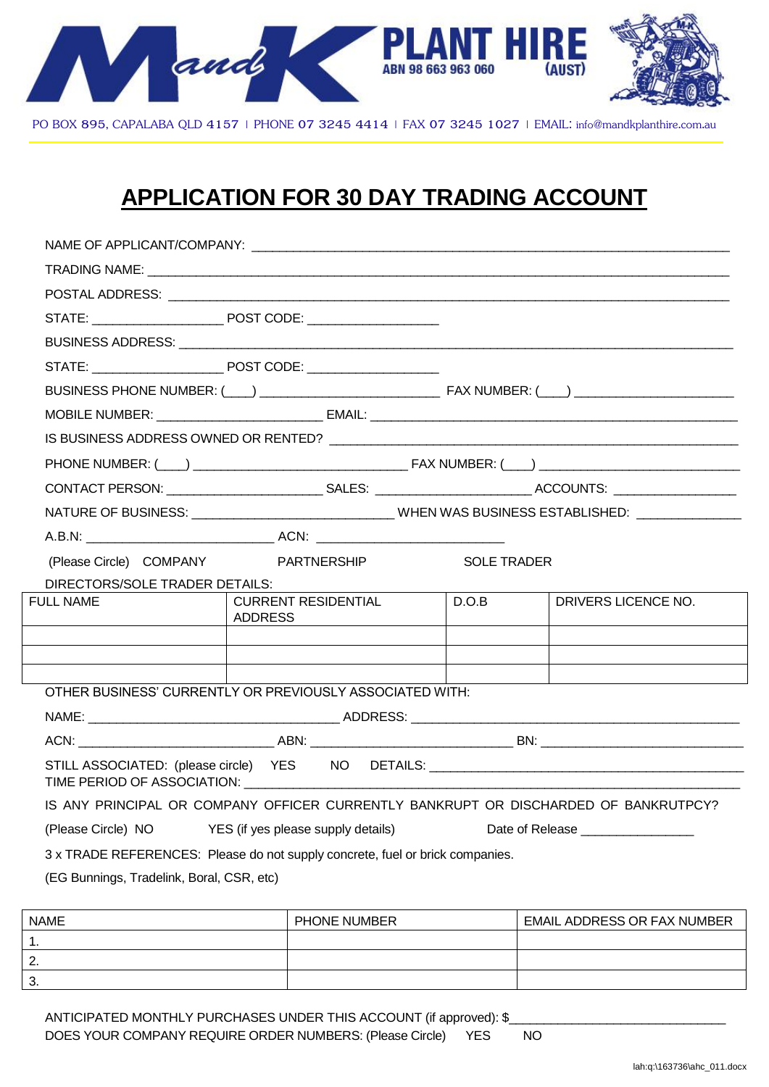

PO BOX 895, CAPALABA QLD 4157 | PHONE 07 3245 4414 | FAX 07 3245 1027 | EMAIL: info@mandkplanthire.com.au

## **APPLICATION FOR 30 DAY TRADING ACCOUNT**

| (Please Circle) COMPANY PARTNERSHIP       |                                                                                     | <b>SOLE TRADER</b> |                                   |
|-------------------------------------------|-------------------------------------------------------------------------------------|--------------------|-----------------------------------|
| DIRECTORS/SOLE TRADER DETAILS:            |                                                                                     |                    |                                   |
| <b>FULL NAME</b>                          | <b>CURRENT RESIDENTIAL</b><br>ADDRESS                                               | $\big $ D.O.B      | <b>I DRIVERS LICENCE NO.</b>      |
|                                           |                                                                                     |                    |                                   |
|                                           |                                                                                     |                    |                                   |
|                                           | OTHER BUSINESS' CURRENTLY OR PREVIOUSLY ASSOCIATED WITH:                            |                    |                                   |
|                                           |                                                                                     |                    |                                   |
|                                           |                                                                                     |                    |                                   |
|                                           | STILL ASSOCIATED: (please circle) YES NO DETAILS: ______________________________    |                    |                                   |
|                                           | IS ANY PRINCIPAL OR COMPANY OFFICER CURRENTLY BANKRUPT OR DISCHARDED OF BANKRUTPCY? |                    |                                   |
|                                           | (Please Circle) NO YES (if yes please supply details)                               |                    | Date of Release _________________ |
|                                           | 3 x TRADE REFERENCES: Please do not supply concrete, fuel or brick companies.       |                    |                                   |
| (EG Bunnings, Tradelink, Boral, CSR, etc) |                                                                                     |                    |                                   |
|                                           |                                                                                     |                    |                                   |

| <b>NAME</b>   | PHONE NUMBER | <b>EMAIL ADDRESS OR FAX NUMBER</b> |
|---------------|--------------|------------------------------------|
|               |              |                                    |
| ◠<br><u>.</u> |              |                                    |
| ≏<br>ູບ.      |              |                                    |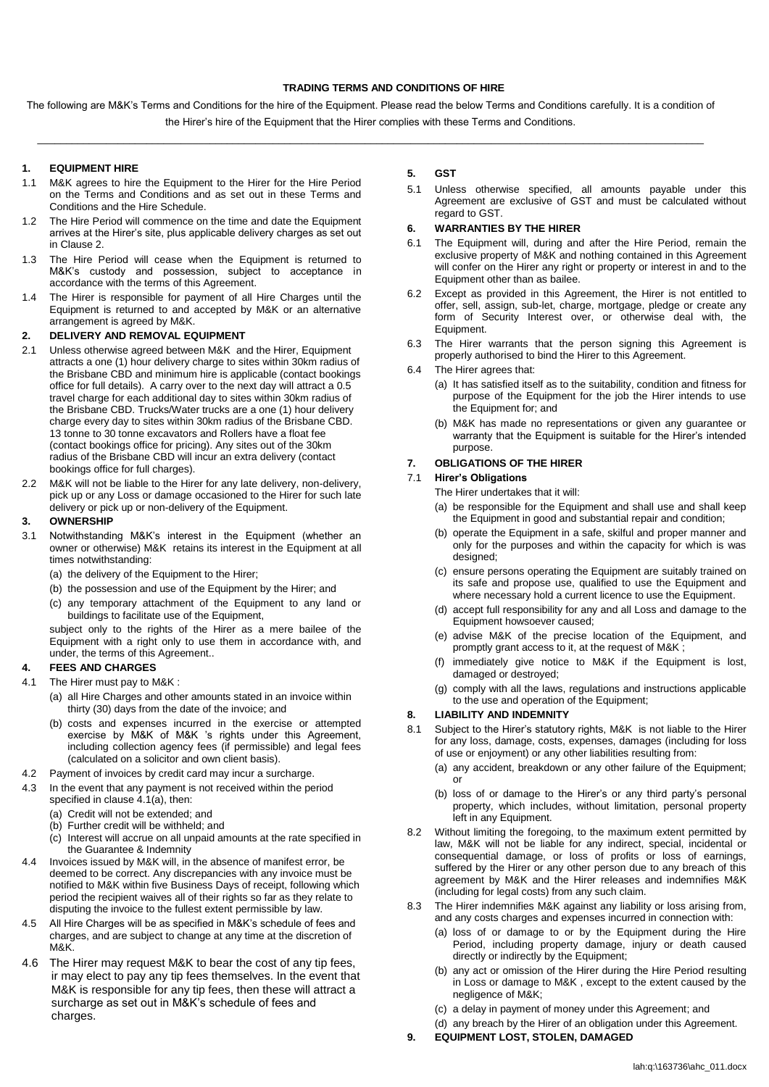#### **TRADING TERMS AND CONDITIONS OF HIRE**

The following are M&K's Terms and Conditions for the hire of the Equipment. Please read the below Terms and Conditions carefully. It is a condition of the Hirer's hire of the Equipment that the Hirer complies with these Terms and Conditions.

 $\_$  , and the set of the set of the set of the set of the set of the set of the set of the set of the set of the set of the set of the set of the set of the set of the set of the set of the set of the set of the set of th

#### **1. EQUIPMENT HIRE**

- 1.1 M&K agrees to hire the Equipment to the Hirer for the Hire Period on the Terms and Conditions and as set out in these Terms and Conditions and the Hire Schedule.
- 1.2 The Hire Period will commence on the time and date the Equipment arrives at the Hirer's site, plus applicable delivery charges as set out in Clause 2.
- 1.3 The Hire Period will cease when the Equipment is returned to M&K's custody and possession, subject to acceptance in accordance with the terms of this Agreement.
- 1.4 The Hirer is responsible for payment of all Hire Charges until the Equipment is returned to and accepted by M&K or an alternative arrangement is agreed by M&K.

#### **2. DELIVERY AND REMOVAL EQUIPMENT**

- 2.1 Unless otherwise agreed between M&K and the Hirer, Equipment attracts a one (1) hour delivery charge to sites within 30km radius of the Brisbane CBD and minimum hire is applicable (contact bookings office for full details). A carry over to the next day will attract a 0.5 travel charge for each additional day to sites within 30km radius of the Brisbane CBD. Trucks/Water trucks are a one (1) hour delivery charge every day to sites within 30km radius of the Brisbane CBD. 13 tonne to 30 tonne excavators and Rollers have a float fee (contact bookings office for pricing). Any sites out of the 30km radius of the Brisbane CBD will incur an extra delivery (contact bookings office for full charges).
- 2.2 M&K will not be liable to the Hirer for any late delivery, non-delivery, pick up or any Loss or damage occasioned to the Hirer for such late delivery or pick up or non-delivery of the Equipment.

#### **3. OWNERSHIP**

- 3.1 Notwithstanding M&K's interest in the Equipment (whether an owner or otherwise) M&K retains its interest in the Equipment at all times notwithstanding:
	- (a) the delivery of the Equipment to the Hirer;
	- (b) the possession and use of the Equipment by the Hirer; and
	- (c) any temporary attachment of the Equipment to any land or buildings to facilitate use of the Equipment,

subject only to the rights of the Hirer as a mere bailee of the Equipment with a right only to use them in accordance with, and under, the terms of this Agreement..

#### **4. FEES AND CHARGES**

- 4.1 The Hirer must pay to M&K :
	- (a) all Hire Charges and other amounts stated in an invoice within thirty (30) days from the date of the invoice; and
	- (b) costs and expenses incurred in the exercise or attempted exercise by M&K of M&K 's rights under this Agreement, including collection agency fees (if permissible) and legal fees (calculated on a solicitor and own client basis).
- 4.2 Payment of invoices by credit card may incur a surcharge.
- 4.3 In the event that any payment is not received within the period specified in clause 4.1(a), then:
	- (a) Credit will not be extended; and
	- (b) Further credit will be withheld; and
	- (c) Interest will accrue on all unpaid amounts at the rate specified in the Guarantee & Indemnity
- 4.4 Invoices issued by M&K will, in the absence of manifest error, be deemed to be correct. Any discrepancies with any invoice must be notified to M&K within five Business Days of receipt, following which period the recipient waives all of their rights so far as they relate to disputing the invoice to the fullest extent permissible by law.
- 4.5 All Hire Charges will be as specified in M&K's schedule of fees and charges, and are subject to change at any time at the discretion of M&K.
- 4.6 The Hirer may request M&K to bear the cost of any tip fees, ir may elect to pay any tip fees themselves. In the event that M&K is responsible for any tip fees, then these will attract a surcharge as set out in M&K's schedule of fees and charges.

#### **5. GST**

5.1 Unless otherwise specified, all amounts payable under this Agreement are exclusive of GST and must be calculated without regard to GST.

#### **6. WARRANTIES BY THE HIRER**

- 6.1 The Equipment will, during and after the Hire Period, remain the exclusive property of M&K and nothing contained in this Agreement will confer on the Hirer any right or property or interest in and to the Equipment other than as bailee.
- 6.2 Except as provided in this Agreement, the Hirer is not entitled to offer, sell, assign, sub-let, charge, mortgage, pledge or create any form of Security Interest over, or otherwise deal with, the Equipment.
- 6.3 The Hirer warrants that the person signing this Agreement is properly authorised to bind the Hirer to this Agreement.
- 6.4 The Hirer agrees that:
	- (a) It has satisfied itself as to the suitability, condition and fitness for purpose of the Equipment for the job the Hirer intends to use the Equipment for; and
	- (b) M&K has made no representations or given any guarantee or warranty that the Equipment is suitable for the Hirer's intended purpose.

#### **7. OBLIGATIONS OF THE HIRER**

## 7.1 **Hirer's Obligations**

The Hirer undertakes that it will:

- (a) be responsible for the Equipment and shall use and shall keep the Equipment in good and substantial repair and condition;
- (b) operate the Equipment in a safe, skilful and proper manner and only for the purposes and within the capacity for which is was designed;
- (c) ensure persons operating the Equipment are suitably trained on its safe and propose use, qualified to use the Equipment and where necessary hold a current licence to use the Equipment.
- (d) accept full responsibility for any and all Loss and damage to the Equipment howsoever caused;
- (e) advise M&K of the precise location of the Equipment, and promptly grant access to it, at the request of M&K ;
- (f) immediately give notice to M&K if the Equipment is lost, damaged or destroyed;
- (g) comply with all the laws, regulations and instructions applicable to the use and operation of the Equipment;

#### **8. LIABILITY AND INDEMNITY**

- 8.1 Subject to the Hirer's statutory rights, M&K is not liable to the Hirer for any loss, damage, costs, expenses, damages (including for loss of use or enjoyment) or any other liabilities resulting from:
	- (a) any accident, breakdown or any other failure of the Equipment; or
	- (b) loss of or damage to the Hirer's or any third party's personal property, which includes, without limitation, personal property left in any Equipment.
- 8.2 Without limiting the foregoing, to the maximum extent permitted by law, M&K will not be liable for any indirect, special, incidental or consequential damage, or loss of profits or loss of earnings, suffered by the Hirer or any other person due to any breach of this agreement by M&K and the Hirer releases and indemnifies M&K (including for legal costs) from any such claim.
- 8.3 The Hirer indemnifies M&K against any liability or loss arising from, and any costs charges and expenses incurred in connection with:
	- (a) loss of or damage to or by the Equipment during the Hire Period, including property damage, injury or death caused directly or indirectly by the Equipment;
	- (b) any act or omission of the Hirer during the Hire Period resulting in Loss or damage to M&K , except to the extent caused by the negligence of M&K;
	- (c) a delay in payment of money under this Agreement; and
	- (d) any breach by the Hirer of an obligation under this Agreement.
- **9. EQUIPMENT LOST, STOLEN, DAMAGED**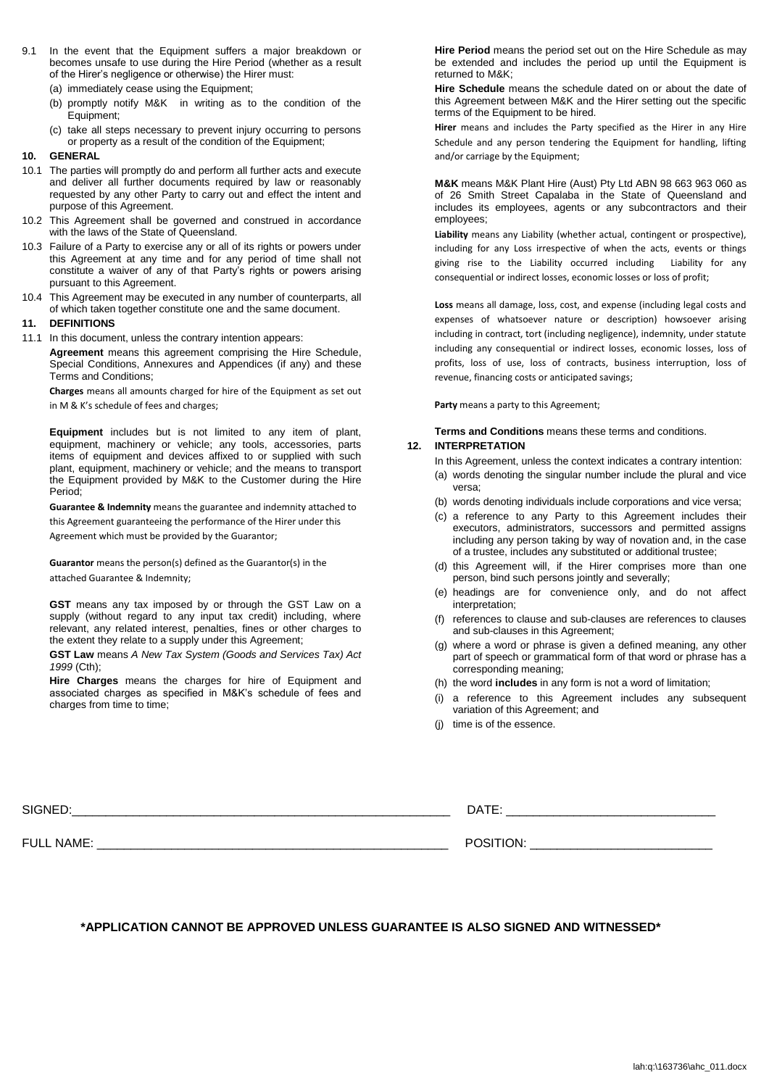- 9.1 In the event that the Equipment suffers a major breakdown or becomes unsafe to use during the Hire Period (whether as a result of the Hirer's negligence or otherwise) the Hirer must:
	- (a) immediately cease using the Equipment;
	- (b) promptly notify M&K in writing as to the condition of the Equipment;
	- (c) take all steps necessary to prevent injury occurring to persons or property as a result of the condition of the Equipment;

#### **10. GENERAL**

- 10.1 The parties will promptly do and perform all further acts and execute and deliver all further documents required by law or reasonably requested by any other Party to carry out and effect the intent and purpose of this Agreement.
- 10.2 This Agreement shall be governed and construed in accordance with the laws of the State of Queensland.
- 10.3 Failure of a Party to exercise any or all of its rights or powers under this Agreement at any time and for any period of time shall not constitute a waiver of any of that Party's rights or powers arising pursuant to this Agreement.
- 10.4 This Agreement may be executed in any number of counterparts, all of which taken together constitute one and the same document.

#### **11. DEFINITIONS**

11.1 In this document, unless the contrary intention appears:

**Agreement** means this agreement comprising the Hire Schedule, Special Conditions, Annexures and Appendices (if any) and these Terms and Conditions;

**Charges** means all amounts charged for hire of the Equipment as set out in M & K's schedule of fees and charges;

**Equipment** includes but is not limited to any item of plant, equipment, machinery or vehicle; any tools, accessories, parts items of equipment and devices affixed to or supplied with such plant, equipment, machinery or vehicle; and the means to transport the Equipment provided by M&K to the Customer during the Hire Period;

**Guarantee & Indemnity** means the guarantee and indemnity attached to this Agreement guaranteeing the performance of the Hirer under this Agreement which must be provided by the Guarantor;

**Guarantor** means the person(s) defined as the Guarantor(s) in the attached Guarantee & Indemnity;

**GST** means any tax imposed by or through the GST Law on a supply (without regard to any input tax credit) including, where relevant, any related interest, penalties, fines or other charges to the extent they relate to a supply under this Agreement;

**GST Law** means *A New Tax System (Goods and Services Tax) Act 1999* (Cth);

**Hire Charges** means the charges for hire of Equipment and associated charges as specified in M&K's schedule of fees and charges from time to time;

**Hire Period** means the period set out on the Hire Schedule as may be extended and includes the period up until the Equipment is returned to M&K;

**Hire Schedule** means the schedule dated on or about the date of this Agreement between M&K and the Hirer setting out the specific terms of the Equipment to be hired.

**Hirer** means and includes the Party specified as the Hirer in any Hire Schedule and any person tendering the Equipment for handling, lifting and/or carriage by the Equipment:

**M&K** means M&K Plant Hire (Aust) Pty Ltd ABN 98 663 963 060 as of 26 Smith Street Capalaba in the State of Queensland and includes its employees, agents or any subcontractors and their employees;

**Liability** means any Liability (whether actual, contingent or prospective), including for any Loss irrespective of when the acts, events or things giving rise to the Liability occurred including Liability for any consequential or indirect losses, economic losses or loss of profit;

**Loss** means all damage, loss, cost, and expense (including legal costs and expenses of whatsoever nature or description) howsoever arising including in contract, tort (including negligence), indemnity, under statute including any consequential or indirect losses, economic losses, loss of profits, loss of use, loss of contracts, business interruption, loss of revenue, financing costs or anticipated savings;

**Party** means a party to this Agreement;

**Terms and Conditions** means these terms and conditions. **12. INTERPRETATION**

In this Agreement, unless the context indicates a contrary intention:

- (a) words denoting the singular number include the plural and vice versa;
- (b) words denoting individuals include corporations and vice versa;
- (c) a reference to any Party to this Agreement includes their executors, administrators, successors and permitted assigns including any person taking by way of novation and, in the case of a trustee, includes any substituted or additional trustee;
- (d) this Agreement will, if the Hirer comprises more than one person, bind such persons jointly and severally;
- (e) headings are for convenience only, and do not affect interpretation;
- (f) references to clause and sub-clauses are references to clauses and sub-clauses in this Agreement;
- (g) where a word or phrase is given a defined meaning, any other part of speech or grammatical form of that word or phrase has a corresponding meaning;
- (h) the word **includes** in any form is not a word of limitation;
- (i) a reference to this Agreement includes any subsequent variation of this Agreement; and
- (j) time is of the essence.

FULL NAME: \_\_\_\_\_\_\_\_\_\_\_\_\_\_\_\_\_\_\_\_\_\_\_\_\_\_\_\_\_\_\_\_\_\_\_\_\_\_\_\_\_\_\_\_\_\_\_\_\_\_\_\_ POSITION: \_\_\_\_\_\_\_\_\_\_\_\_\_\_\_\_\_\_\_\_\_\_\_\_\_\_\_

SIGNED:\_\_\_\_\_\_\_\_\_\_\_\_\_\_\_\_\_\_\_\_\_\_\_\_\_\_\_\_\_\_\_\_\_\_\_\_\_\_\_\_\_\_\_\_\_\_\_\_\_\_\_\_\_\_\_\_ DATE: \_\_\_\_\_\_\_\_\_\_\_\_\_\_\_\_\_\_\_\_\_\_\_\_\_\_\_\_\_\_\_

## **\*APPLICATION CANNOT BE APPROVED UNLESS GUARANTEE IS ALSO SIGNED AND WITNESSED\***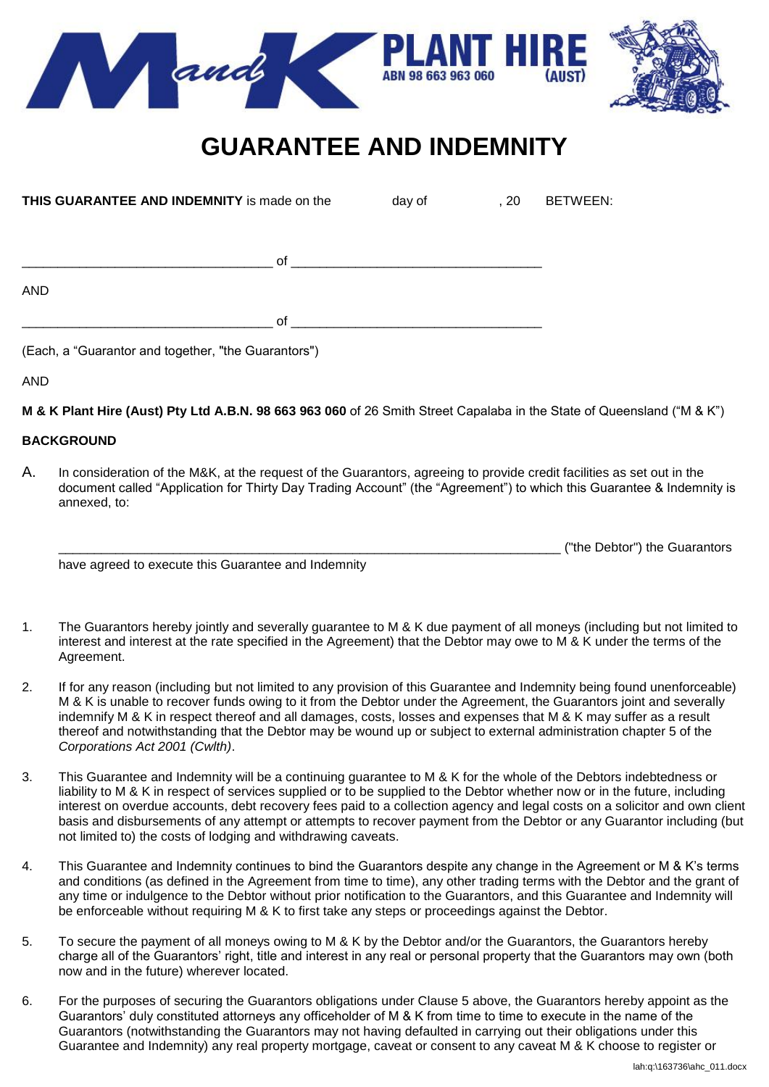



# **GUARANTEE AND INDEMNITY**

| THIS GUARANTEE AND INDEMNITY is made on the | day of | , 20 | <b>BETWEEN:</b> |
|---------------------------------------------|--------|------|-----------------|
| 0f                                          |        |      |                 |
| AND                                         |        |      |                 |
| 0f                                          |        |      |                 |

(Each, a "Guarantor and together, "the Guarantors")

AND

**M & K Plant Hire (Aust) Pty Ltd A.B.N. 98 663 963 060** of 26 Smith Street Capalaba in the State of Queensland ("M & K")

## **BACKGROUND**

A. In consideration of the M&K, at the request of the Guarantors, agreeing to provide credit facilities as set out in the document called "Application for Thirty Day Trading Account" (the "Agreement") to which this Guarantee & Indemnity is annexed, to:

have agreed to execute this Guarantee and Indemnity

- 1. The Guarantors hereby jointly and severally guarantee to M & K due payment of all moneys (including but not limited to interest and interest at the rate specified in the Agreement) that the Debtor may owe to M & K under the terms of the Agreement.
- 2. If for any reason (including but not limited to any provision of this Guarantee and Indemnity being found unenforceable) M & K is unable to recover funds owing to it from the Debtor under the Agreement, the Guarantors joint and severally indemnify M & K in respect thereof and all damages, costs, losses and expenses that M & K may suffer as a result thereof and notwithstanding that the Debtor may be wound up or subject to external administration chapter 5 of the *Corporations Act 2001 (Cwlth)*.
- 3. This Guarantee and Indemnity will be a continuing guarantee to M & K for the whole of the Debtors indebtedness or liability to M & K in respect of services supplied or to be supplied to the Debtor whether now or in the future, including interest on overdue accounts, debt recovery fees paid to a collection agency and legal costs on a solicitor and own client basis and disbursements of any attempt or attempts to recover payment from the Debtor or any Guarantor including (but not limited to) the costs of lodging and withdrawing caveats.
- 4. This Guarantee and Indemnity continues to bind the Guarantors despite any change in the Agreement or M & K's terms and conditions (as defined in the Agreement from time to time), any other trading terms with the Debtor and the grant of any time or indulgence to the Debtor without prior notification to the Guarantors, and this Guarantee and Indemnity will be enforceable without requiring M & K to first take any steps or proceedings against the Debtor.
- 5. To secure the payment of all moneys owing to M & K by the Debtor and/or the Guarantors, the Guarantors hereby charge all of the Guarantors' right, title and interest in any real or personal property that the Guarantors may own (both now and in the future) wherever located.
- 6. For the purposes of securing the Guarantors obligations under Clause 5 above, the Guarantors hereby appoint as the Guarantors' duly constituted attorneys any officeholder of M & K from time to time to execute in the name of the Guarantors (notwithstanding the Guarantors may not having defaulted in carrying out their obligations under this Guarantee and Indemnity) any real property mortgage, caveat or consent to any caveat M & K choose to register or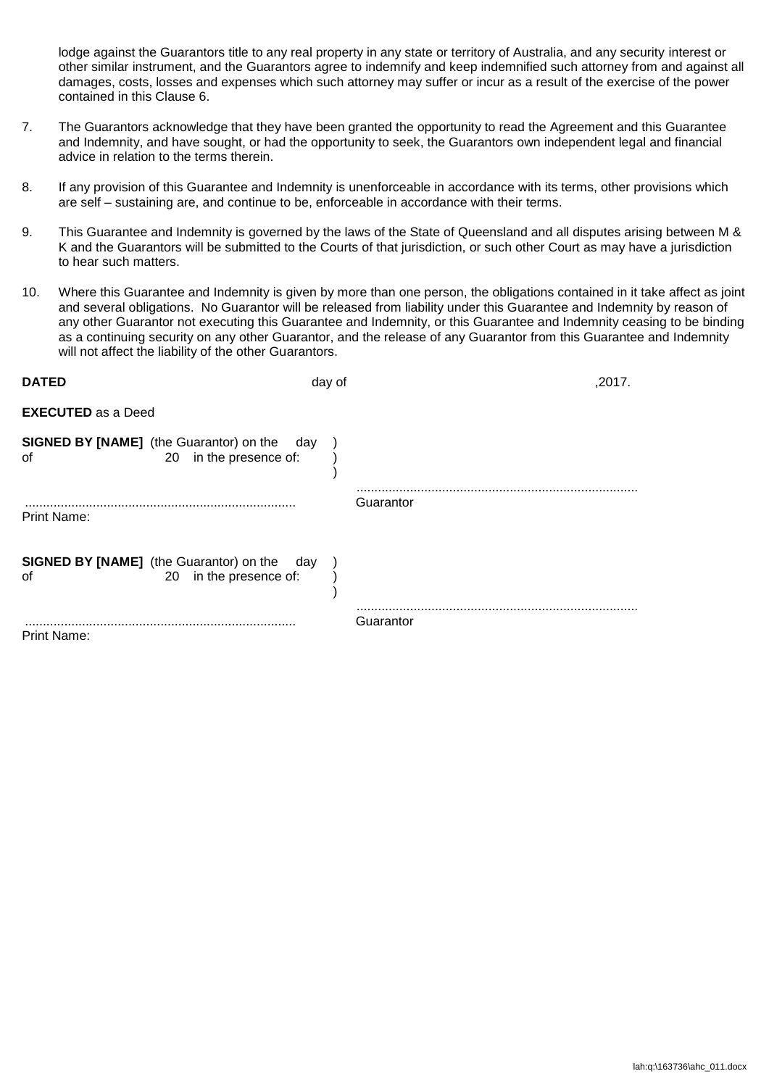lodge against the Guarantors title to any real property in any state or territory of Australia, and any security interest or other similar instrument, and the Guarantors agree to indemnify and keep indemnified such attorney from and against all damages, costs, losses and expenses which such attorney may suffer or incur as a result of the exercise of the power contained in this Clause 6.

- 7. The Guarantors acknowledge that they have been granted the opportunity to read the Agreement and this Guarantee and Indemnity, and have sought, or had the opportunity to seek, the Guarantors own independent legal and financial advice in relation to the terms therein.
- 8. If any provision of this Guarantee and Indemnity is unenforceable in accordance with its terms, other provisions which are self – sustaining are, and continue to be, enforceable in accordance with their terms.
- 9. This Guarantee and Indemnity is governed by the laws of the State of Queensland and all disputes arising between M & K and the Guarantors will be submitted to the Courts of that jurisdiction, or such other Court as may have a jurisdiction to hear such matters.
- 10. Where this Guarantee and Indemnity is given by more than one person, the obligations contained in it take affect as joint and several obligations. No Guarantor will be released from liability under this Guarantee and Indemnity by reason of any other Guarantor not executing this Guarantee and Indemnity, or this Guarantee and Indemnity ceasing to be binding as a continuing security on any other Guarantor, and the release of any Guarantor from this Guarantee and Indemnity will not affect the liability of the other Guarantors.

| <b>DATED</b>              |                                                                                 | day of | ,2017.    |
|---------------------------|---------------------------------------------------------------------------------|--------|-----------|
| <b>EXECUTED</b> as a Deed |                                                                                 |        |           |
| οf                        | <b>SIGNED BY [NAME]</b> (the Guarantor) on the<br>day<br>20 in the presence of: |        |           |
| Print Name:               |                                                                                 |        | Guarantor |
| οf                        | <b>SIGNED BY [NAME]</b> (the Guarantor) on the day<br>20 in the presence of:    |        |           |
| Print Name:               |                                                                                 |        | Guarantor |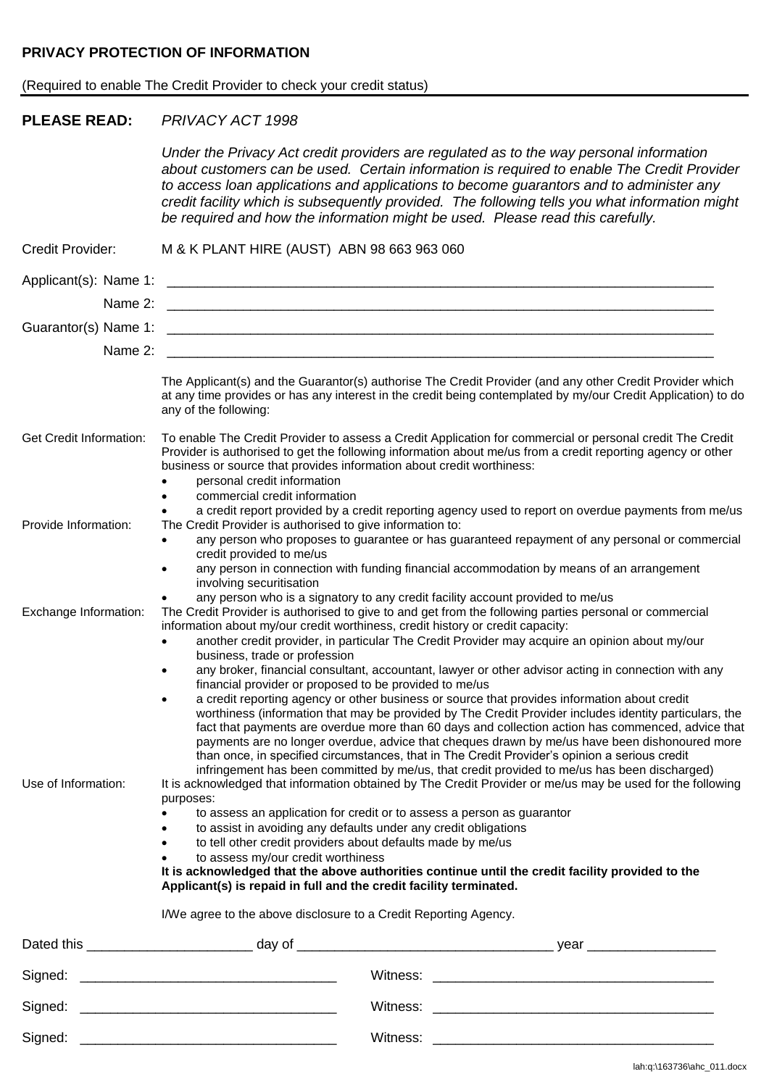## **PRIVACY PROTECTION OF INFORMATION**

## (Required to enable The Credit Provider to check your credit status)

## **PLEASE READ:** *PRIVACY ACT 1998*

*Under the Privacy Act credit providers are regulated as to the way personal information about customers can be used. Certain information is required to enable The Credit Provider to access loan applications and applications to become guarantors and to administer any credit facility which is subsequently provided. The following tells you what information might be required and how the information might be used. Please read this carefully.*

| Credit Provider:        | M & K PLANT HIRE (AUST) ABN 98 663 963 060                                                                                                                                                                                                                                                                                                                                                                                                                                                                                                                                                                                                                                                                                                                                                                                                                                                                                                                                                                                                                                                                                                                                                                                                                                                                                                                                                                                                                                                                                                                                          |
|-------------------------|-------------------------------------------------------------------------------------------------------------------------------------------------------------------------------------------------------------------------------------------------------------------------------------------------------------------------------------------------------------------------------------------------------------------------------------------------------------------------------------------------------------------------------------------------------------------------------------------------------------------------------------------------------------------------------------------------------------------------------------------------------------------------------------------------------------------------------------------------------------------------------------------------------------------------------------------------------------------------------------------------------------------------------------------------------------------------------------------------------------------------------------------------------------------------------------------------------------------------------------------------------------------------------------------------------------------------------------------------------------------------------------------------------------------------------------------------------------------------------------------------------------------------------------------------------------------------------------|
| Applicant(s): Name 1:   |                                                                                                                                                                                                                                                                                                                                                                                                                                                                                                                                                                                                                                                                                                                                                                                                                                                                                                                                                                                                                                                                                                                                                                                                                                                                                                                                                                                                                                                                                                                                                                                     |
| Name 2:                 |                                                                                                                                                                                                                                                                                                                                                                                                                                                                                                                                                                                                                                                                                                                                                                                                                                                                                                                                                                                                                                                                                                                                                                                                                                                                                                                                                                                                                                                                                                                                                                                     |
|                         |                                                                                                                                                                                                                                                                                                                                                                                                                                                                                                                                                                                                                                                                                                                                                                                                                                                                                                                                                                                                                                                                                                                                                                                                                                                                                                                                                                                                                                                                                                                                                                                     |
| Name 2:                 | <u> 1980 - Jan Barbara, martxa al II-lea (h. 1980).</u><br>1900 - Johann Barbara, martxa al II-lea (h. 1900).                                                                                                                                                                                                                                                                                                                                                                                                                                                                                                                                                                                                                                                                                                                                                                                                                                                                                                                                                                                                                                                                                                                                                                                                                                                                                                                                                                                                                                                                       |
|                         | The Applicant(s) and the Guarantor(s) authorise The Credit Provider (and any other Credit Provider which<br>at any time provides or has any interest in the credit being contemplated by my/our Credit Application) to do<br>any of the following:                                                                                                                                                                                                                                                                                                                                                                                                                                                                                                                                                                                                                                                                                                                                                                                                                                                                                                                                                                                                                                                                                                                                                                                                                                                                                                                                  |
| Get Credit Information: | To enable The Credit Provider to assess a Credit Application for commercial or personal credit The Credit<br>Provider is authorised to get the following information about me/us from a credit reporting agency or other<br>business or source that provides information about credit worthiness:<br>personal credit information<br>commercial credit information                                                                                                                                                                                                                                                                                                                                                                                                                                                                                                                                                                                                                                                                                                                                                                                                                                                                                                                                                                                                                                                                                                                                                                                                                   |
| Provide Information:    | a credit report provided by a credit reporting agency used to report on overdue payments from me/us<br>The Credit Provider is authorised to give information to:                                                                                                                                                                                                                                                                                                                                                                                                                                                                                                                                                                                                                                                                                                                                                                                                                                                                                                                                                                                                                                                                                                                                                                                                                                                                                                                                                                                                                    |
|                         | any person who proposes to guarantee or has guaranteed repayment of any personal or commercial<br>$\bullet$<br>credit provided to me/us                                                                                                                                                                                                                                                                                                                                                                                                                                                                                                                                                                                                                                                                                                                                                                                                                                                                                                                                                                                                                                                                                                                                                                                                                                                                                                                                                                                                                                             |
|                         | any person in connection with funding financial accommodation by means of an arrangement<br>$\bullet$<br>involving securitisation                                                                                                                                                                                                                                                                                                                                                                                                                                                                                                                                                                                                                                                                                                                                                                                                                                                                                                                                                                                                                                                                                                                                                                                                                                                                                                                                                                                                                                                   |
| Exchange Information:   | any person who is a signatory to any credit facility account provided to me/us<br>The Credit Provider is authorised to give to and get from the following parties personal or commercial<br>information about my/our credit worthiness, credit history or credit capacity:                                                                                                                                                                                                                                                                                                                                                                                                                                                                                                                                                                                                                                                                                                                                                                                                                                                                                                                                                                                                                                                                                                                                                                                                                                                                                                          |
| Use of Information:     | another credit provider, in particular The Credit Provider may acquire an opinion about my/our<br>$\bullet$<br>business, trade or profession<br>any broker, financial consultant, accountant, lawyer or other advisor acting in connection with any<br>$\bullet$<br>financial provider or proposed to be provided to me/us<br>a credit reporting agency or other business or source that provides information about credit<br>worthiness (information that may be provided by The Credit Provider includes identity particulars, the<br>fact that payments are overdue more than 60 days and collection action has commenced, advice that<br>payments are no longer overdue, advice that cheques drawn by me/us have been dishonoured more<br>than once, in specified circumstances, that in The Credit Provider's opinion a serious credit<br>infringement has been committed by me/us, that credit provided to me/us has been discharged)<br>It is acknowledged that information obtained by The Credit Provider or me/us may be used for the following<br>purposes:<br>to assess an application for credit or to assess a person as guarantor<br>to assist in avoiding any defaults under any credit obligations<br>to tell other credit providers about defaults made by me/us<br>to assess my/our credit worthiness<br>$\bullet$<br>It is acknowledged that the above authorities continue until the credit facility provided to the<br>Applicant(s) is repaid in full and the credit facility terminated.<br>I/We agree to the above disclosure to a Credit Reporting Agency. |
|                         |                                                                                                                                                                                                                                                                                                                                                                                                                                                                                                                                                                                                                                                                                                                                                                                                                                                                                                                                                                                                                                                                                                                                                                                                                                                                                                                                                                                                                                                                                                                                                                                     |
|                         |                                                                                                                                                                                                                                                                                                                                                                                                                                                                                                                                                                                                                                                                                                                                                                                                                                                                                                                                                                                                                                                                                                                                                                                                                                                                                                                                                                                                                                                                                                                                                                                     |
|                         |                                                                                                                                                                                                                                                                                                                                                                                                                                                                                                                                                                                                                                                                                                                                                                                                                                                                                                                                                                                                                                                                                                                                                                                                                                                                                                                                                                                                                                                                                                                                                                                     |
|                         |                                                                                                                                                                                                                                                                                                                                                                                                                                                                                                                                                                                                                                                                                                                                                                                                                                                                                                                                                                                                                                                                                                                                                                                                                                                                                                                                                                                                                                                                                                                                                                                     |
| Signed:                 | Witness:                                                                                                                                                                                                                                                                                                                                                                                                                                                                                                                                                                                                                                                                                                                                                                                                                                                                                                                                                                                                                                                                                                                                                                                                                                                                                                                                                                                                                                                                                                                                                                            |